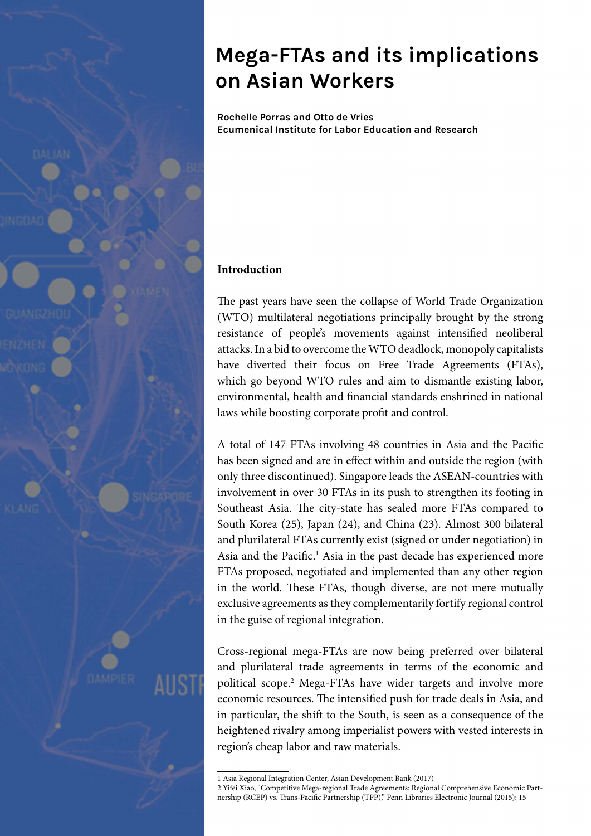

**Rochelle Porras and Otto de Vries Ecumenical Institute for Labor Education and Research**

## **Introduction**

The past years have seen the collapse of World Trade Organization (WTO) multilateral negotiations principally brought by the strong resistance of people's movements against intensified neoliberal attacks. In a bid to overcome the WTO deadlock, monopoly capitalists have diverted their focus on Free Trade Agreements (FTAs), which go beyond WTO rules and aim to dismantle existing labor, environmental, health and financial standards enshrined in national laws while boosting corporate profit and control.

A total of 147 FTAs involving 48 countries in Asia and the Pacific has been signed and are in effect within and outside the region (with only three discontinued). Singapore leads the ASEAN-countries with involvement in over 30 FTAs in its push to strengthen its footing in Southeast Asia. The city-state has sealed more FTAs compared to South Korea (25), Japan (24), and China (23). Almost 300 bilateral and plurilateral FTAs currently exist (signed or under negotiation) in Asia and the Pacific.<sup>1</sup> Asia in the past decade has experienced more FTAs proposed, negotiated and implemented than any other region in the world. These FTAs, though diverse, are not mere mutually exclusive agreements as they complementarily fortify regional control in the guise of regional integration.

Cross-regional mega-FTAs are now being preferred over bilateral and plurilateral trade agreements in terms of the economic and political scope.<sup>2</sup> Mega-FTAs have wider targets and involve more economic resources. The intensified push for trade deals in Asia, and in particular, the shift to the South, is seen as a consequence of the heightened rivalry among imperialist powers with vested interests in region's cheap labor and raw materials.

<sup>1</sup> Asia Regional Integration Center, Asian Development Bank (2017)

<sup>2</sup> Yifei Xiao, "Competitive Mega-regional Trade Agreements: Regional Comprehensive Economic Partnership (RCEP) vs. Trans-Pacific Partnership (TPP)," Penn Libraries Electronic Journal (2015): 15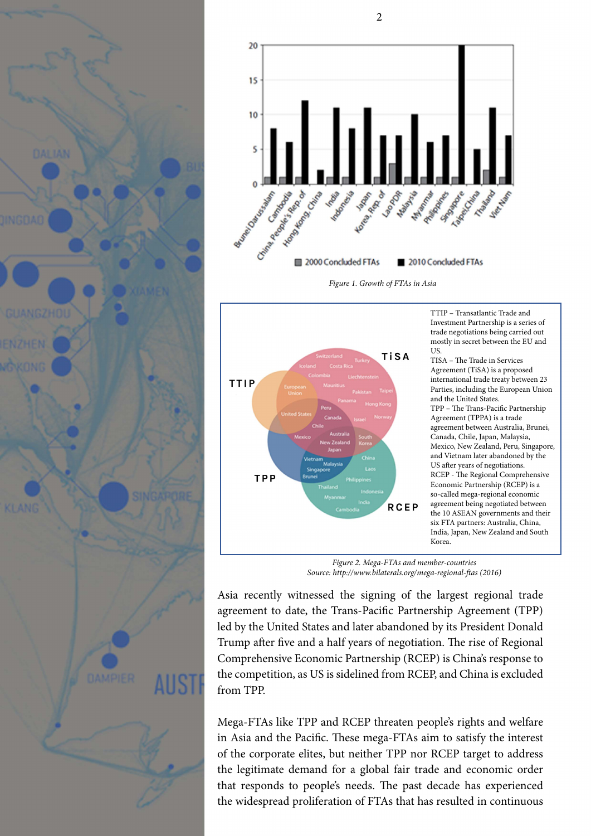



2

*Figure 1. Growth of FTAs in Asia*



TTIP – Transatlantic Trade and Investment Partnership is a series of trade negotiations being carried out mostly in secret between the EU and US.

TISA – The Trade in Services Agreement (TiSA) is a proposed international trade treaty between 23 Parties, including the European Union and the United States. TPP – The Trans-Pacific Partnership Agreement (TPPA) is a trade agreement between Australia, Brunei, Canada, Chile, Japan, Malaysia, Mexico, New Zealand, Peru, Singapore, and Vietnam later abandoned by the US after years of negotiations. RCEP - The Regional Comprehensive Economic Partnership (RCEP) is a so-called mega-regional economic agreement being negotiated between the 10 ASEAN governments and their six FTA partners: Australia, China, India, Japan, New Zealand and South Korea.

*Figure 2. Mega-FTAs and member-countries Source: http://www.bilaterals.org/mega-regional-ftas (2016)*

Asia recently witnessed the signing of the largest regional trade agreement to date, the Trans-Pacific Partnership Agreement (TPP) led by the United States and later abandoned by its President Donald Trump after five and a half years of negotiation. The rise of Regional Comprehensive Economic Partnership (RCEP) is China's response to the competition, as US is sidelined from RCEP, and China is excluded from TPP.

Mega-FTAs like TPP and RCEP threaten people's rights and welfare in Asia and the Pacific. These mega-FTAs aim to satisfy the interest of the corporate elites, but neither TPP nor RCEP target to address the legitimate demand for a global fair trade and economic order that responds to people's needs. The past decade has experienced the widespread proliferation of FTAs that has resulted in continuous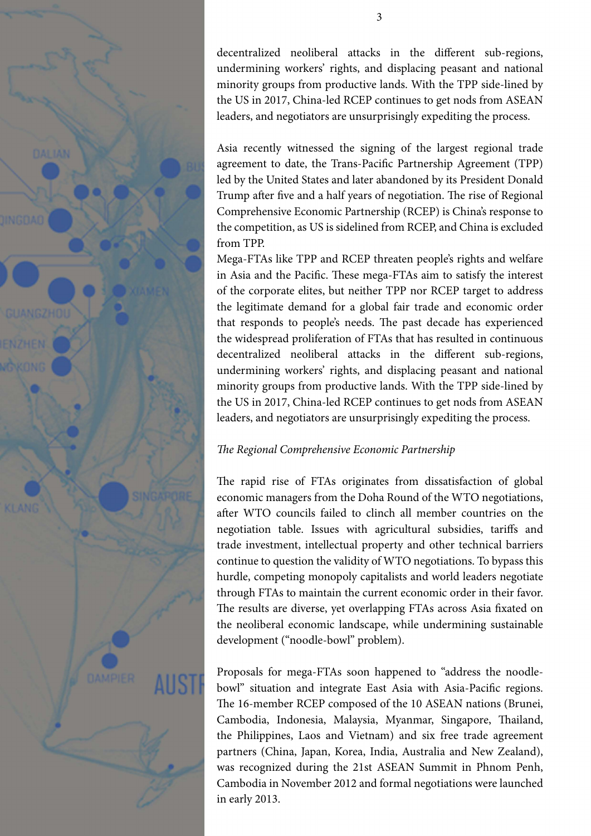

decentralized neoliberal attacks in the different sub-regions, undermining workers' rights, and displacing peasant and national minority groups from productive lands. With the TPP side-lined by the US in 2017, China-led RCEP continues to get nods from ASEAN leaders, and negotiators are unsurprisingly expediting the process.

Asia recently witnessed the signing of the largest regional trade agreement to date, the Trans-Pacific Partnership Agreement (TPP) led by the United States and later abandoned by its President Donald Trump after five and a half years of negotiation. The rise of Regional Comprehensive Economic Partnership (RCEP) is China's response to the competition, as US is sidelined from RCEP, and China is excluded from TPP.

Mega-FTAs like TPP and RCEP threaten people's rights and welfare in Asia and the Pacific. These mega-FTAs aim to satisfy the interest of the corporate elites, but neither TPP nor RCEP target to address the legitimate demand for a global fair trade and economic order that responds to people's needs. The past decade has experienced the widespread proliferation of FTAs that has resulted in continuous decentralized neoliberal attacks in the different sub-regions, undermining workers' rights, and displacing peasant and national minority groups from productive lands. With the TPP side-lined by the US in 2017, China-led RCEP continues to get nods from ASEAN leaders, and negotiators are unsurprisingly expediting the process.

# *The Regional Comprehensive Economic Partnership*

The rapid rise of FTAs originates from dissatisfaction of global economic managers from the Doha Round of the WTO negotiations, after WTO councils failed to clinch all member countries on the negotiation table. Issues with agricultural subsidies, tariffs and trade investment, intellectual property and other technical barriers continue to question the validity of WTO negotiations. To bypass this hurdle, competing monopoly capitalists and world leaders negotiate through FTAs to maintain the current economic order in their favor. The results are diverse, yet overlapping FTAs across Asia fixated on the neoliberal economic landscape, while undermining sustainable development ("noodle-bowl" problem).

Proposals for mega-FTAs soon happened to "address the noodlebowl" situation and integrate East Asia with Asia-Pacific regions. The 16-member RCEP composed of the 10 ASEAN nations (Brunei, Cambodia, Indonesia, Malaysia, Myanmar, Singapore, Thailand, the Philippines, Laos and Vietnam) and six free trade agreement partners (China, Japan, Korea, India, Australia and New Zealand), was recognized during the 21st ASEAN Summit in Phnom Penh, Cambodia in November 2012 and formal negotiations were launched in early 2013.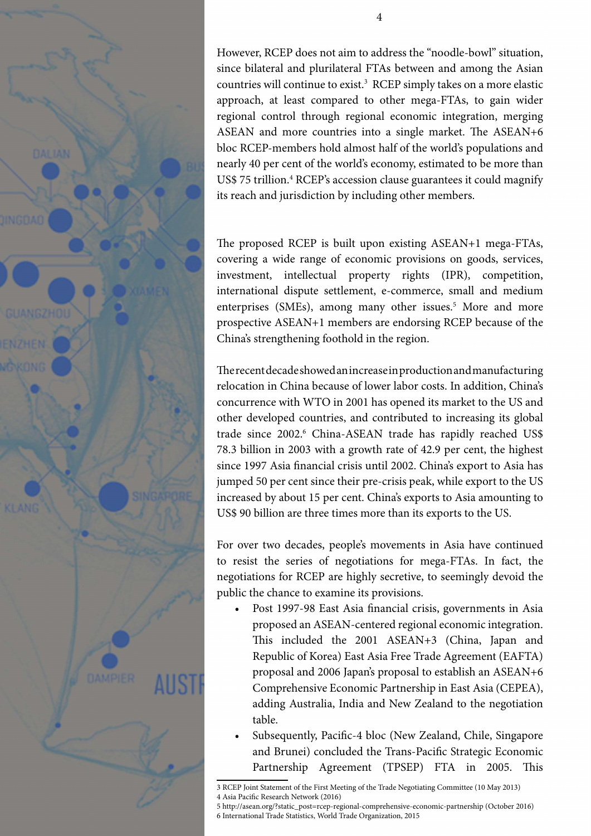

However, RCEP does not aim to address the "noodle-bowl" situation, since bilateral and plurilateral FTAs between and among the Asian countries will continue to exist.3 RCEP simply takes on a more elastic approach, at least compared to other mega-FTAs, to gain wider regional control through regional economic integration, merging ASEAN and more countries into a single market. The ASEAN+6 bloc RCEP-members hold almost half of the world's populations and nearly 40 per cent of the world's economy, estimated to be more than US\$ 75 trillion.<sup>4</sup> RCEP's accession clause guarantees it could magnify

The proposed RCEP is built upon existing ASEAN+1 mega-FTAs, covering a wide range of economic provisions on goods, services, investment, intellectual property rights (IPR), competition, international dispute settlement, e-commerce, small and medium enterprises (SMEs), among many other issues.<sup>5</sup> More and more prospective ASEAN+1 members are endorsing RCEP because of the China's strengthening foothold in the region.

its reach and jurisdiction by including other members.

The recent decade showed an increase in production and manufacturing relocation in China because of lower labor costs. In addition, China's concurrence with WTO in 2001 has opened its market to the US and other developed countries, and contributed to increasing its global trade since 2002.<sup>6</sup> China-ASEAN trade has rapidly reached US\$ 78.3 billion in 2003 with a growth rate of 42.9 per cent, the highest since 1997 Asia financial crisis until 2002. China's export to Asia has jumped 50 per cent since their pre-crisis peak, while export to the US increased by about 15 per cent. China's exports to Asia amounting to US\$ 90 billion are three times more than its exports to the US.

For over two decades, people's movements in Asia have continued to resist the series of negotiations for mega-FTAs. In fact, the negotiations for RCEP are highly secretive, to seemingly devoid the public the chance to examine its provisions.

- Post 1997-98 East Asia financial crisis, governments in Asia proposed an ASEAN-centered regional economic integration. This included the 2001 ASEAN+3 (China, Japan and Republic of Korea) East Asia Free Trade Agreement (EAFTA) proposal and 2006 Japan's proposal to establish an ASEAN+6 Comprehensive Economic Partnership in East Asia (CEPEA), adding Australia, India and New Zealand to the negotiation table.
- Subsequently, Pacific-4 bloc (New Zealand, Chile, Singapore and Brunei) concluded the Trans-Pacific Strategic Economic Partnership Agreement (TPSEP) FTA in 2005. This

<sup>3</sup> RCEP Joint Statement of the First Meeting of the Trade Negotiating Committee (10 May 2013) 4 Asia Pacific Research Network (2016)

<sup>5</sup> http://asean.org/?static\_post=rcep-regional-comprehensive-economic-partnership (October 2016) 6 International Trade Statistics, World Trade Organization, 2015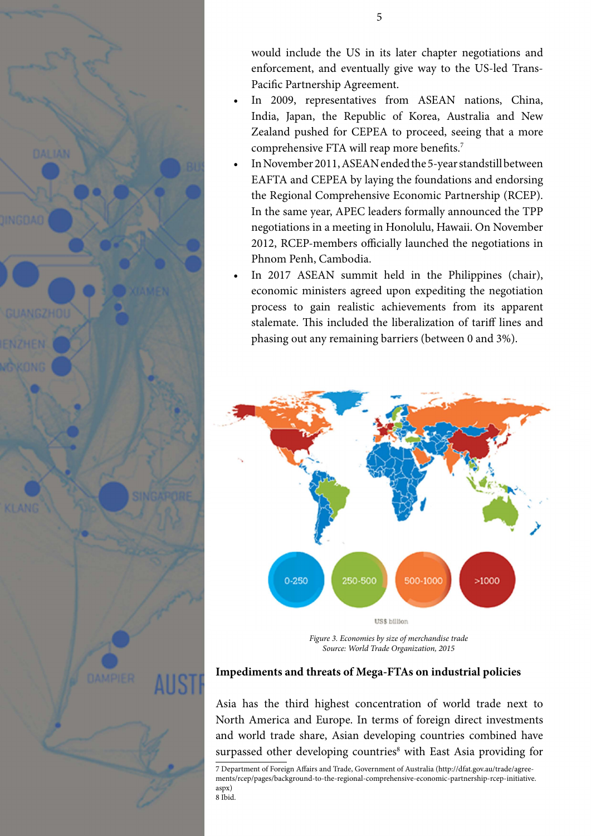

would include the US in its later chapter negotiations and enforcement, and eventually give way to the US-led Trans-Pacific Partnership Agreement.

- In 2009, representatives from ASEAN nations, China, India, Japan, the Republic of Korea, Australia and New Zealand pushed for CEPEA to proceed, seeing that a more comprehensive FTA will reap more benefits.7
- In November 2011, ASEAN ended the 5-year standstill between EAFTA and CEPEA by laying the foundations and endorsing the Regional Comprehensive Economic Partnership (RCEP). In the same year, APEC leaders formally announced the TPP negotiations in a meeting in Honolulu, Hawaii. On November 2012, RCEP-members officially launched the negotiations in Phnom Penh, Cambodia.
- In 2017 ASEAN summit held in the Philippines (chair), economic ministers agreed upon expediting the negotiation process to gain realistic achievements from its apparent stalemate. This included the liberalization of tariff lines and phasing out any remaining barriers (between 0 and 3%).



*Figure 3. Economies by size of merchandise trade Source: World Trade Organization, 2015*

## **Impediments and threats of Mega-FTAs on industrial policies**

Asia has the third highest concentration of world trade next to North America and Europe. In terms of foreign direct investments and world trade share, Asian developing countries combined have surpassed other developing countries<sup>8</sup> with East Asia providing for

7 Department of Foreign Affairs and Trade, Government of Australia (http://dfat.gov.au/trade/agreements/rcep/pages/background-to-the-regional-comprehensive-economic-partnership-rcep-initiative. aspx) 8 Ibid.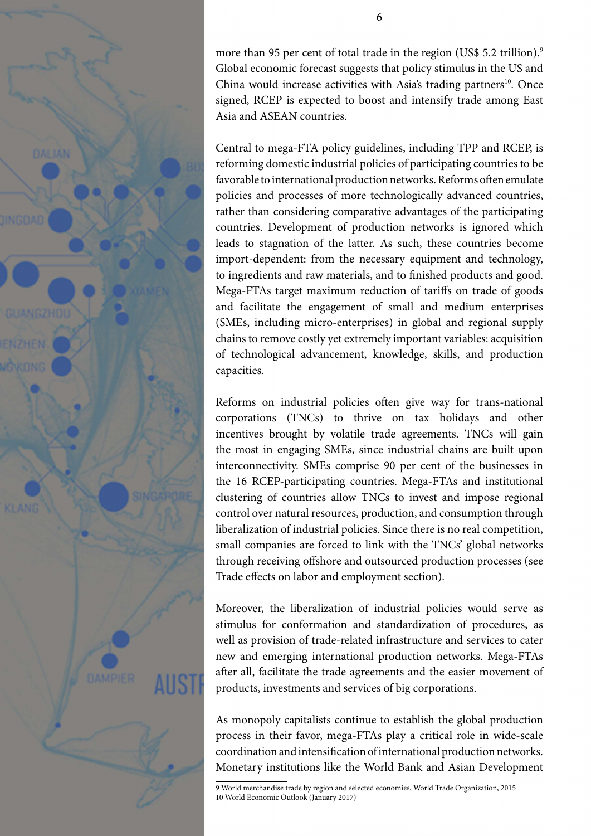

more than 95 per cent of total trade in the region (US\$ 5.2 trillion).<sup>9</sup> Global economic forecast suggests that policy stimulus in the US and China would increase activities with Asia's trading partners<sup>10</sup>. Once signed, RCEP is expected to boost and intensify trade among East Asia and ASEAN countries.

Central to mega-FTA policy guidelines, including TPP and RCEP, is reforming domestic industrial policies of participating countries to be favorable to international production networks. Reforms often emulate policies and processes of more technologically advanced countries, rather than considering comparative advantages of the participating countries. Development of production networks is ignored which leads to stagnation of the latter. As such, these countries become import-dependent: from the necessary equipment and technology, to ingredients and raw materials, and to finished products and good. Mega-FTAs target maximum reduction of tariffs on trade of goods and facilitate the engagement of small and medium enterprises (SMEs, including micro-enterprises) in global and regional supply chains to remove costly yet extremely important variables: acquisition of technological advancement, knowledge, skills, and production capacities.

Reforms on industrial policies often give way for trans-national corporations (TNCs) to thrive on tax holidays and other incentives brought by volatile trade agreements. TNCs will gain the most in engaging SMEs, since industrial chains are built upon interconnectivity. SMEs comprise 90 per cent of the businesses in the 16 RCEP-participating countries. Mega-FTAs and institutional clustering of countries allow TNCs to invest and impose regional control over natural resources, production, and consumption through liberalization of industrial policies. Since there is no real competition, small companies are forced to link with the TNCs' global networks through receiving offshore and outsourced production processes (see Trade effects on labor and employment section).

Moreover, the liberalization of industrial policies would serve as stimulus for conformation and standardization of procedures, as well as provision of trade-related infrastructure and services to cater new and emerging international production networks. Mega-FTAs after all, facilitate the trade agreements and the easier movement of products, investments and services of big corporations.

As monopoly capitalists continue to establish the global production process in their favor, mega-FTAs play a critical role in wide-scale coordination and intensification of international production networks. Monetary institutions like the World Bank and Asian Development

<sup>9</sup> World merchandise trade by region and selected economies, World Trade Organization, 2015 10 World Economic Outlook (January 2017)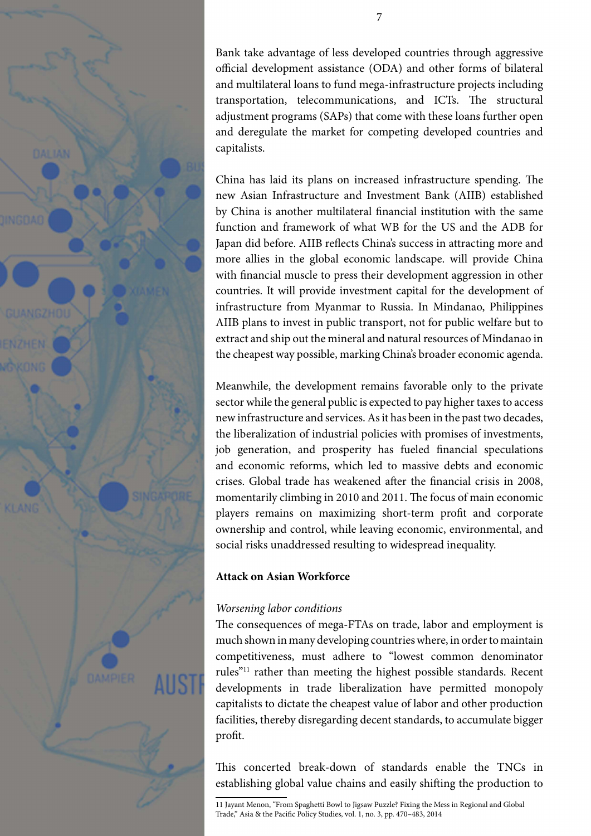

Bank take advantage of less developed countries through aggressive official development assistance (ODA) and other forms of bilateral and multilateral loans to fund mega-infrastructure projects including transportation, telecommunications, and ICTs. The structural adjustment programs (SAPs) that come with these loans further open and deregulate the market for competing developed countries and capitalists.

China has laid its plans on increased infrastructure spending. The new Asian Infrastructure and Investment Bank (AIIB) established by China is another multilateral financial institution with the same function and framework of what WB for the US and the ADB for Japan did before. AIIB reflects China's success in attracting more and more allies in the global economic landscape. will provide China with financial muscle to press their development aggression in other countries. It will provide investment capital for the development of infrastructure from Myanmar to Russia. In Mindanao, Philippines AIIB plans to invest in public transport, not for public welfare but to extract and ship out the mineral and natural resources of Mindanao in the cheapest way possible, marking China's broader economic agenda.

Meanwhile, the development remains favorable only to the private sector while the general public is expected to pay higher taxes to access new infrastructure and services. As it has been in the past two decades, the liberalization of industrial policies with promises of investments, job generation, and prosperity has fueled financial speculations and economic reforms, which led to massive debts and economic crises. Global trade has weakened after the financial crisis in 2008, momentarily climbing in 2010 and 2011. The focus of main economic players remains on maximizing short-term profit and corporate ownership and control, while leaving economic, environmental, and social risks unaddressed resulting to widespread inequality.

## **Attack on Asian Workforce**

## *Worsening labor conditions*

The consequences of mega-FTAs on trade, labor and employment is much shown in many developing countries where, in order to maintain competitiveness, must adhere to "lowest common denominator rules"11 rather than meeting the highest possible standards. Recent developments in trade liberalization have permitted monopoly capitalists to dictate the cheapest value of labor and other production facilities, thereby disregarding decent standards, to accumulate bigger profit.

This concerted break-down of standards enable the TNCs in establishing global value chains and easily shifting the production to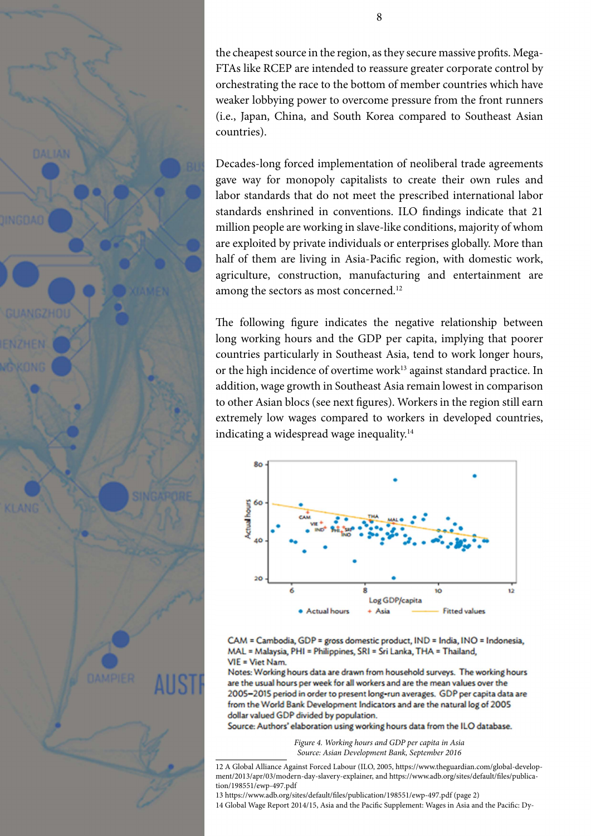the cheapest source in the region, as they secure massive profits. Mega-FTAs like RCEP are intended to reassure greater corporate control by orchestrating the race to the bottom of member countries which have weaker lobbying power to overcome pressure from the front runners (i.e., Japan, China, and South Korea compared to Southeast Asian countries).

Decades-long forced implementation of neoliberal trade agreements gave way for monopoly capitalists to create their own rules and labor standards that do not meet the prescribed international labor standards enshrined in conventions. ILO findings indicate that 21 million people are working in slave-like conditions, majority of whom are exploited by private individuals or enterprises globally. More than half of them are living in Asia-Pacific region, with domestic work, agriculture, construction, manufacturing and entertainment are among the sectors as most concerned.12

The following figure indicates the negative relationship between long working hours and the GDP per capita, implying that poorer countries particularly in Southeast Asia, tend to work longer hours, or the high incidence of overtime work<sup>13</sup> against standard practice. In addition, wage growth in Southeast Asia remain lowest in comparison to other Asian blocs (see next figures). Workers in the region still earn extremely low wages compared to workers in developed countries, indicating a widespread wage inequality.<sup>14</sup>



CAM = Cambodia, GDP = gross domestic product, IND = India, INO = Indonesia, MAL = Malaysia, PHI = Philippines, SRI = Sri Lanka, THA = Thailand, VIE = Viet Nam.

Notes: Working hours data are drawn from household surveys. The working hours are the usual hours per week for all workers and are the mean values over the 2005-2015 period in order to present long-run averages. GDP per capita data are from the World Bank Development Indicators and are the natural log of 2005 dollar valued GDP divided by population.

Source: Authors' elaboration using working hours data from the ILO database.

*Figure 4. Working hours and GDP per capita in Asia Source: Asian Development Bank, September 2016*

12 A Global Alliance Against Forced Labour (ILO, 2005, https://www.theguardian.com/global-development/2013/apr/03/modern-day-slavery-explainer, and https://www.adb.org/sites/default/files/publication/198551/ewp-497.pdf

13 https://www.adb.org/sites/default/files/publication/198551/ewp-497.pdf (page 2)

14 Global Wage Report 2014/15, Asia and the Pacific Supplement: Wages in Asia and the Pacific: Dy-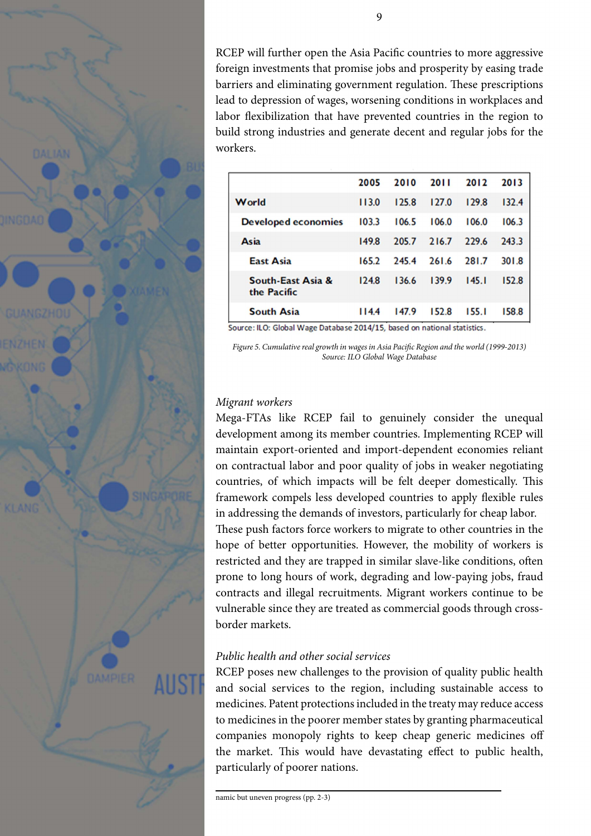RCEP will further open the Asia Pacific countries to more aggressive foreign investments that promise jobs and prosperity by easing trade barriers and eliminating government regulation. These prescriptions lead to depression of wages, worsening conditions in workplaces and labor flexibilization that have prevented countries in the region to build strong industries and generate decent and regular jobs for the workers.

|                                  | 2005  | 2010  | 2011  | 2012  | 2013  |
|----------------------------------|-------|-------|-------|-------|-------|
| World                            | 113.0 | 125.8 | 127.0 | 129.8 | 132.4 |
| <b>Developed economies</b>       | 103.3 | 106.5 | 106.0 | 106.0 | 106.3 |
| Asia                             | 149.8 | 205.7 | 216.7 | 229.6 | 243.3 |
| <b>East Asia</b>                 | 165.2 | 245.4 | 261.6 | 281.7 | 301.8 |
| South-East Asia &<br>the Pacific | 124.8 | 136.6 | 139.9 | 145.1 | 152.8 |
| <b>South Asia</b>                | 114.4 | 147.9 | 152.8 | 155.1 | 158.8 |

Source: ILO: Global Wage Database 2014/15, based on national statistics.

*Figure 5. Cumulative real growth in wages in Asia Pacific Region and the world (1999-2013) Source: ILO Global Wage Database*

### *Migrant workers*

Mega-FTAs like RCEP fail to genuinely consider the unequal development among its member countries. Implementing RCEP will maintain export-oriented and import-dependent economies reliant on contractual labor and poor quality of jobs in weaker negotiating countries, of which impacts will be felt deeper domestically. This framework compels less developed countries to apply flexible rules in addressing the demands of investors, particularly for cheap labor.

These push factors force workers to migrate to other countries in the hope of better opportunities. However, the mobility of workers is restricted and they are trapped in similar slave-like conditions, often prone to long hours of work, degrading and low-paying jobs, fraud contracts and illegal recruitments. Migrant workers continue to be vulnerable since they are treated as commercial goods through crossborder markets.

### *Public health and other social services*

RCEP poses new challenges to the provision of quality public health and social services to the region, including sustainable access to medicines. Patent protections included in the treaty may reduce access to medicines in the poorer member states by granting pharmaceutical companies monopoly rights to keep cheap generic medicines off the market. This would have devastating effect to public health, particularly of poorer nations.

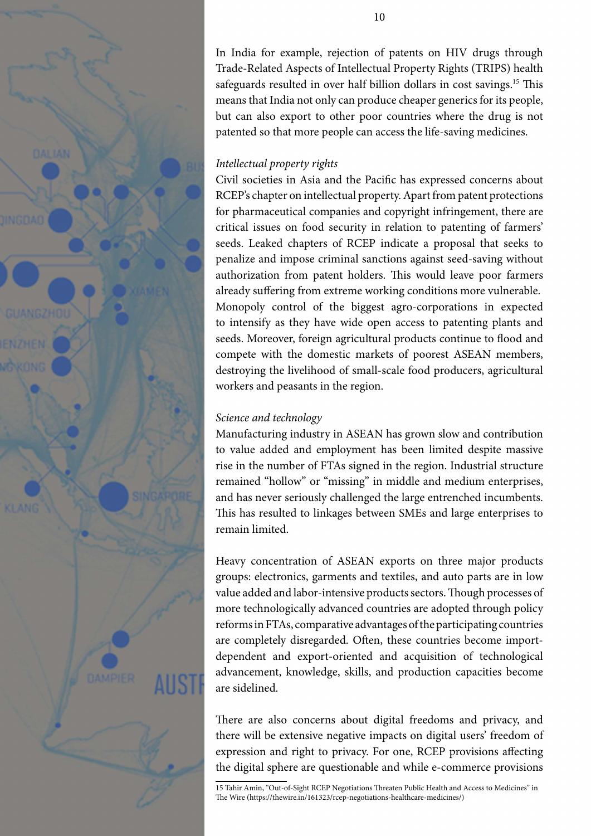

In India for example, rejection of patents on HIV drugs through Trade-Related Aspects of Intellectual Property Rights (TRIPS) health safeguards resulted in over half billion dollars in cost savings.<sup>15</sup> This means that India not only can produce cheaper generics for its people, but can also export to other poor countries where the drug is not patented so that more people can access the life-saving medicines.

# *Intellectual property rights*

Civil societies in Asia and the Pacific has expressed concerns about RCEP's chapter on intellectual property. Apart from patent protections for pharmaceutical companies and copyright infringement, there are critical issues on food security in relation to patenting of farmers' seeds. Leaked chapters of RCEP indicate a proposal that seeks to penalize and impose criminal sanctions against seed-saving without authorization from patent holders. This would leave poor farmers already suffering from extreme working conditions more vulnerable. Monopoly control of the biggest agro-corporations in expected to intensify as they have wide open access to patenting plants and seeds. Moreover, foreign agricultural products continue to flood and compete with the domestic markets of poorest ASEAN members, destroying the livelihood of small-scale food producers, agricultural workers and peasants in the region.

# *Science and technology*

Manufacturing industry in ASEAN has grown slow and contribution to value added and employment has been limited despite massive rise in the number of FTAs signed in the region. Industrial structure remained "hollow" or "missing" in middle and medium enterprises, and has never seriously challenged the large entrenched incumbents. This has resulted to linkages between SMEs and large enterprises to remain limited.

Heavy concentration of ASEAN exports on three major products groups: electronics, garments and textiles, and auto parts are in low value added and labor-intensive products sectors. Though processes of more technologically advanced countries are adopted through policy reforms in FTAs, comparative advantages of the participating countries are completely disregarded. Often, these countries become importdependent and export-oriented and acquisition of technological advancement, knowledge, skills, and production capacities become are sidelined.

There are also concerns about digital freedoms and privacy, and there will be extensive negative impacts on digital users' freedom of expression and right to privacy. For one, RCEP provisions affecting the digital sphere are questionable and while e-commerce provisions

<sup>15</sup> Tahir Amin, "Out-of-Sight RCEP Negotiations Threaten Public Health and Access to Medicines" in The Wire (https://thewire.in/161323/rcep-negotiations-healthcare-medicines/)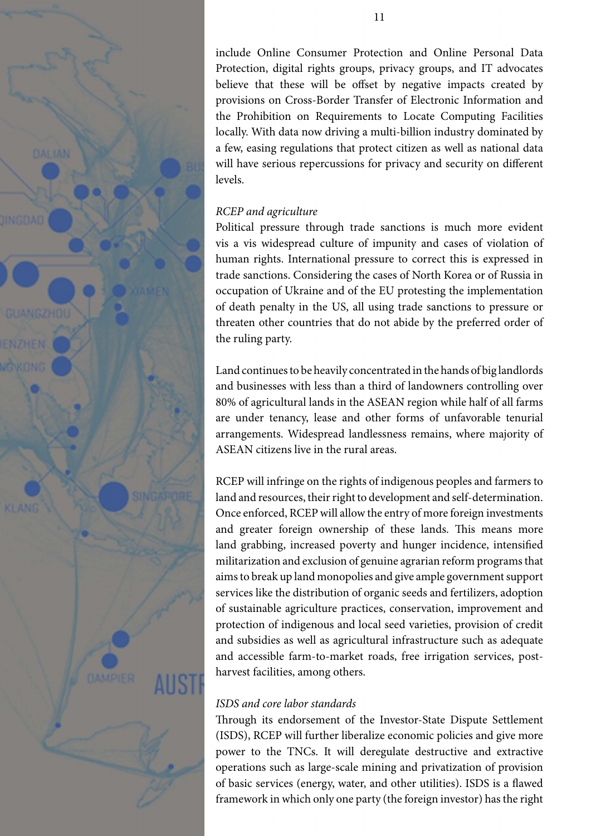

include Online Consumer Protection and Online Personal Data Protection, digital rights groups, privacy groups, and IT advocates believe that these will be offset by negative impacts created by provisions on Cross-Border Transfer of Electronic Information and the Prohibition on Requirements to Locate Computing Facilities locally. With data now driving a multi-billion industry dominated by a few, easing regulations that protect citizen as well as national data will have serious repercussions for privacy and security on different levels.

# *RCEP and agriculture*

Political pressure through trade sanctions is much more evident vis a vis widespread culture of impunity and cases of violation of human rights. International pressure to correct this is expressed in trade sanctions. Considering the cases of North Korea or of Russia in occupation of Ukraine and of the EU protesting the implementation of death penalty in the US, all using trade sanctions to pressure or threaten other countries that do not abide by the preferred order of the ruling party.

Land continues to be heavily concentrated in the hands of big landlords and businesses with less than a third of landowners controlling over 80% of agricultural lands in the ASEAN region while half of all farms are under tenancy, lease and other forms of unfavorable tenurial arrangements. Widespread landlessness remains, where majority of ASEAN citizens live in the rural areas.

RCEP will infringe on the rights of indigenous peoples and farmers to land and resources, their right to development and self-determination. Once enforced, RCEP will allow the entry of more foreign investments and greater foreign ownership of these lands. This means more land grabbing, increased poverty and hunger incidence, intensified militarization and exclusion of genuine agrarian reform programs that aims to break up land monopolies and give ample government support services like the distribution of organic seeds and fertilizers, adoption of sustainable agriculture practices, conservation, improvement and protection of indigenous and local seed varieties, provision of credit and subsidies as well as agricultural infrastructure such as adequate and accessible farm-to-market roads, free irrigation services, postharvest facilities, among others.

# *ISDS and core labor standards*

Through its endorsement of the Investor-State Dispute Settlement (ISDS), RCEP will further liberalize economic policies and give more power to the TNCs. It will deregulate destructive and extractive operations such as large-scale mining and privatization of provision of basic services (energy, water, and other utilities). ISDS is a flawed framework in which only one party (the foreign investor) has the right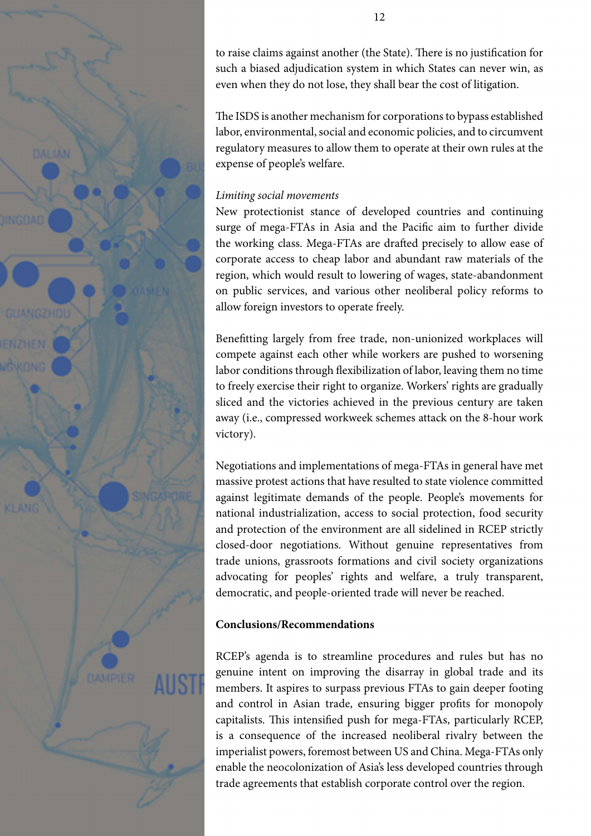

to raise claims against another (the State). There is no justification for such a biased adjudication system in which States can never win, as even when they do not lose, they shall bear the cost of litigation.

The ISDS is another mechanism for corporations to bypass established labor, environmental, social and economic policies, and to circumvent regulatory measures to allow them to operate at their own rules at the expense of people's welfare.

# *Limiting social movements*

New protectionist stance of developed countries and continuing surge of mega-FTAs in Asia and the Pacific aim to further divide the working class. Mega-FTAs are drafted precisely to allow ease of corporate access to cheap labor and abundant raw materials of the region, which would result to lowering of wages, state-abandonment on public services, and various other neoliberal policy reforms to allow foreign investors to operate freely.

Benefitting largely from free trade, non-unionized workplaces will compete against each other while workers are pushed to worsening labor conditions through flexibilization of labor, leaving them no time to freely exercise their right to organize. Workers' rights are gradually sliced and the victories achieved in the previous century are taken away (i.e., compressed workweek schemes attack on the 8-hour work victory).

Negotiations and implementations of mega-FTAs in general have met massive protest actions that have resulted to state violence committed against legitimate demands of the people. People's movements for national industrialization, access to social protection, food security and protection of the environment are all sidelined in RCEP strictly closed-door negotiations. Without genuine representatives from trade unions, grassroots formations and civil society organizations advocating for peoples' rights and welfare, a truly transparent, democratic, and people-oriented trade will never be reached.

# **Conclusions/Recommendations**

RCEP's agenda is to streamline procedures and rules but has no genuine intent on improving the disarray in global trade and its members. It aspires to surpass previous FTAs to gain deeper footing and control in Asian trade, ensuring bigger profits for monopoly capitalists. This intensified push for mega-FTAs, particularly RCEP, is a consequence of the increased neoliberal rivalry between the imperialist powers, foremost between US and China. Mega-FTAs only enable the neocolonization of Asia's less developed countries through trade agreements that establish corporate control over the region.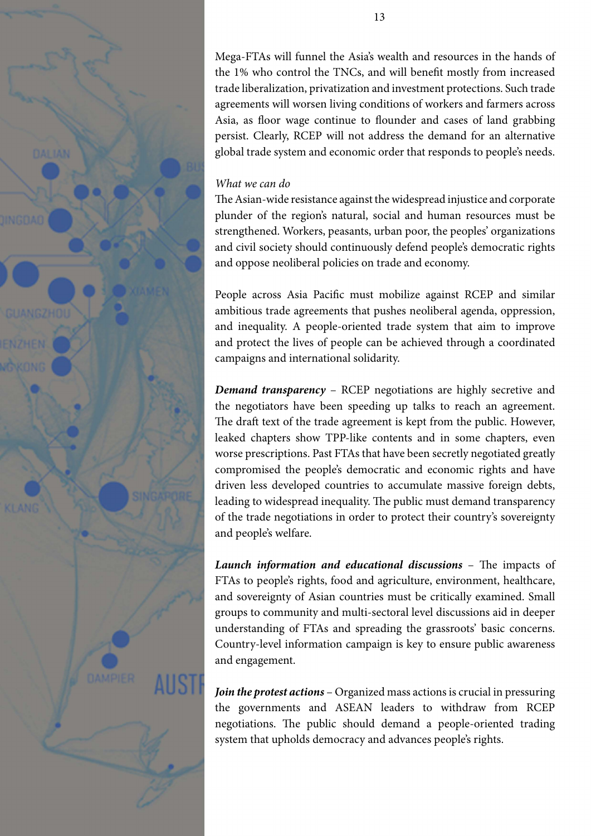

Mega-FTAs will funnel the Asia's wealth and resources in the hands of the 1% who control the TNCs, and will benefit mostly from increased trade liberalization, privatization and investment protections. Such trade agreements will worsen living conditions of workers and farmers across Asia, as floor wage continue to flounder and cases of land grabbing persist. Clearly, RCEP will not address the demand for an alternative global trade system and economic order that responds to people's needs.

### *What we can do*

The Asian-wide resistance against the widespread injustice and corporate plunder of the region's natural, social and human resources must be strengthened. Workers, peasants, urban poor, the peoples' organizations and civil society should continuously defend people's democratic rights and oppose neoliberal policies on trade and economy.

People across Asia Pacific must mobilize against RCEP and similar ambitious trade agreements that pushes neoliberal agenda, oppression, and inequality. A people-oriented trade system that aim to improve and protect the lives of people can be achieved through a coordinated campaigns and international solidarity.

*Demand transparency* – RCEP negotiations are highly secretive and the negotiators have been speeding up talks to reach an agreement. The draft text of the trade agreement is kept from the public. However, leaked chapters show TPP-like contents and in some chapters, even worse prescriptions. Past FTAs that have been secretly negotiated greatly compromised the people's democratic and economic rights and have driven less developed countries to accumulate massive foreign debts, leading to widespread inequality. The public must demand transparency of the trade negotiations in order to protect their country's sovereignty and people's welfare.

*Launch information and educational discussions* – The impacts of FTAs to people's rights, food and agriculture, environment, healthcare, and sovereignty of Asian countries must be critically examined. Small groups to community and multi-sectoral level discussions aid in deeper understanding of FTAs and spreading the grassroots' basic concerns. Country-level information campaign is key to ensure public awareness and engagement.

*Join the protest actions* – Organized mass actions is crucial in pressuring the governments and ASEAN leaders to withdraw from RCEP negotiations. The public should demand a people-oriented trading system that upholds democracy and advances people's rights.